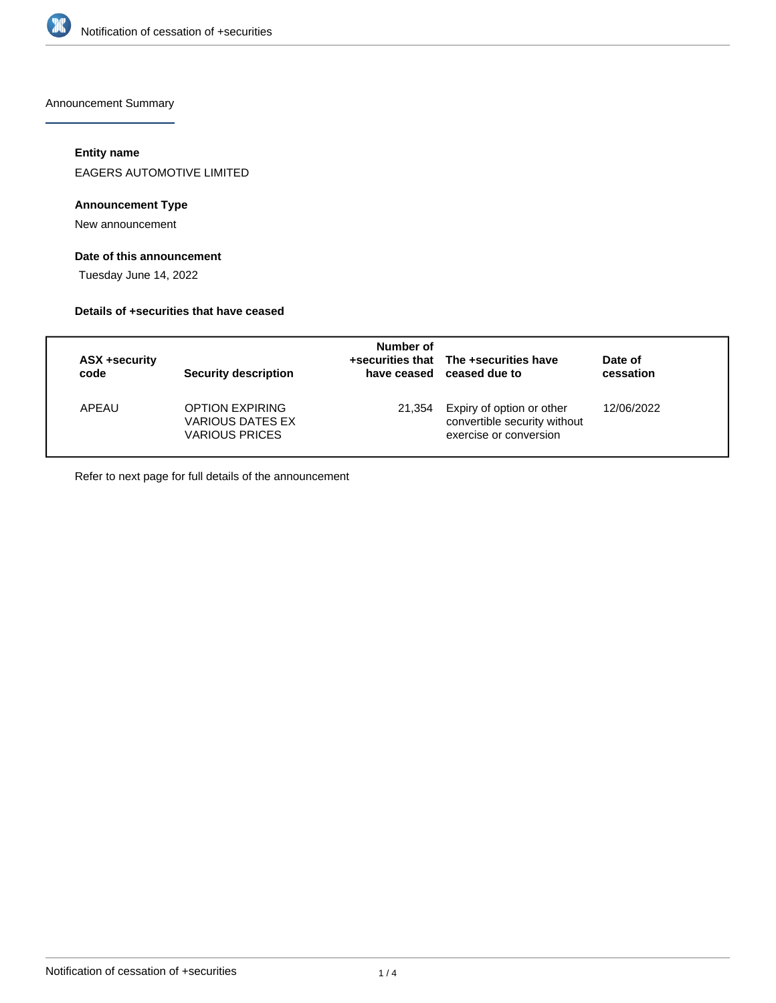

Announcement Summary

## **Entity name**

EAGERS AUTOMOTIVE LIMITED

## **Announcement Type**

New announcement

# **Date of this announcement**

Tuesday June 14, 2022

#### **Details of +securities that have ceased**

| ASX +security<br>code | <b>Security description</b>                                         | Number of | +securities that The +securities have<br>have ceased ceased due to                  | Date of<br>cessation |
|-----------------------|---------------------------------------------------------------------|-----------|-------------------------------------------------------------------------------------|----------------------|
| APFAU                 | <b>OPTION EXPIRING</b><br>VARIOUS DATES EX<br><b>VARIOUS PRICES</b> | 21.354    | Expiry of option or other<br>convertible security without<br>exercise or conversion | 12/06/2022           |

Refer to next page for full details of the announcement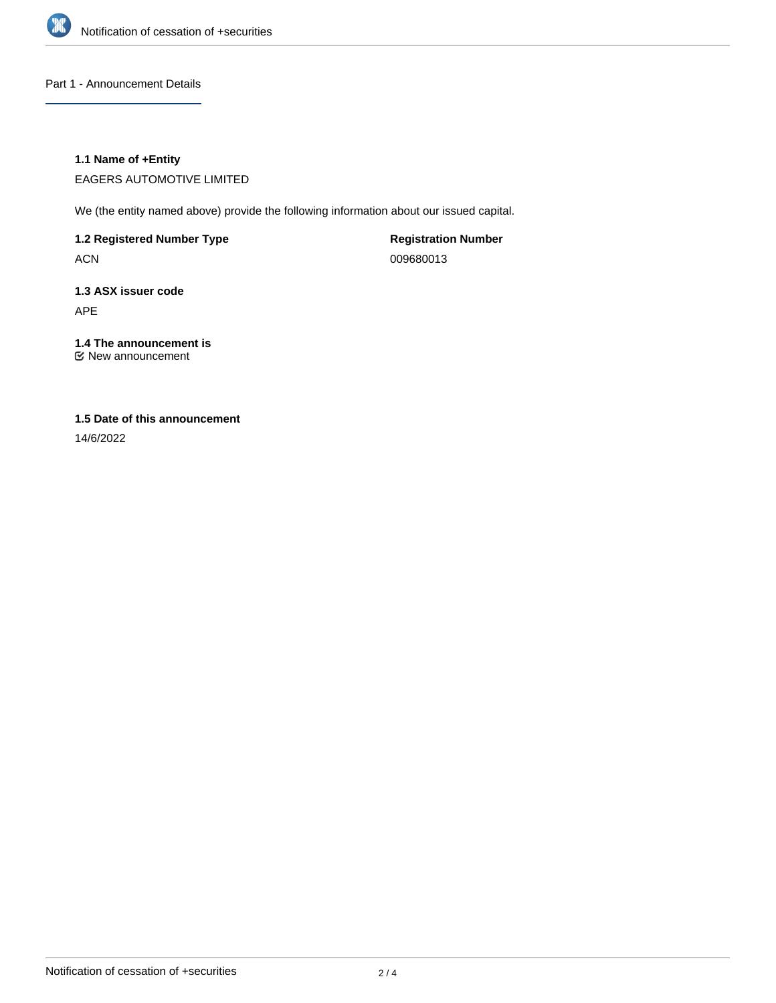

Part 1 - Announcement Details

## **1.1 Name of +Entity**

EAGERS AUTOMOTIVE LIMITED

We (the entity named above) provide the following information about our issued capital.

**1.2 Registered Number Type**

ACN

**Registration Number** 009680013

**1.3 ASX issuer code** APE

# **1.4 The announcement is**

New announcement

# **1.5 Date of this announcement**

14/6/2022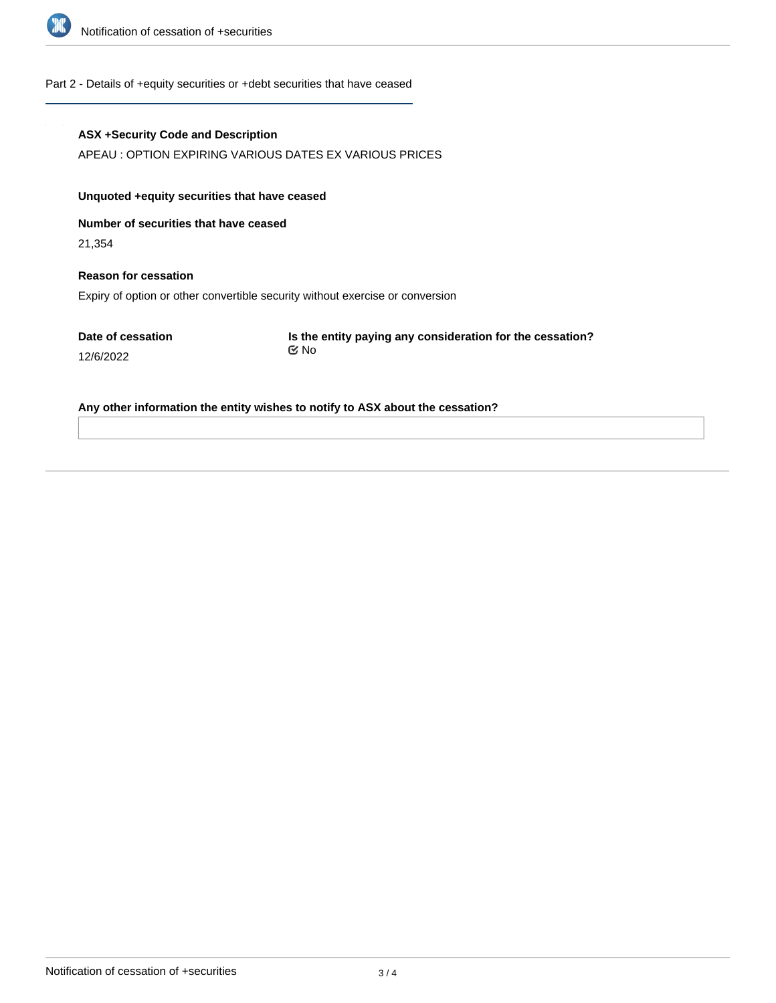

#### Part 2 - Details of +equity securities or +debt securities that have ceased

#### **ASX +Security Code and Description**

APEAU : OPTION EXPIRING VARIOUS DATES EX VARIOUS PRICES

# **Unquoted +equity securities that have ceased**

**Number of securities that have ceased**

21,354

# **Reason for cessation**

Expiry of option or other convertible security without exercise or conversion

**Date of cessation**

12/6/2022

**Is the entity paying any consideration for the cessation?** No

#### **Any other information the entity wishes to notify to ASX about the cessation?**